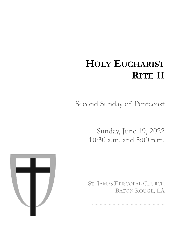# **HOLY EUCHARIST RITE II**

Second Sunday of Pentecost

Sunday, June 19, 2022 10:30 a.m. and 5:00 p.m.

ST. JAMES EPISCOPAL CHURCH BATON ROUGE, LA

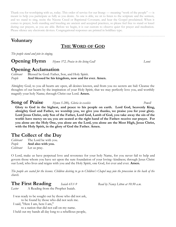Thank you for worshiping with us, today. This order of service for our liturgy — meaning "work of the people" — is meant to help you participate as fully as you desire. As one is able, we sit to listen to the scripture and the sermon, and we stand to sing, recite the Nicene Creed or Baptismal Covenant, and hear the Gospel proclaimed. When it comes to prayer, both standing and kneeling are ancient and accepted practices, so please feel free to stand or kneel during our prayers, as you are able. Before we begin, it is our custom to observe quiet for prayer and meditation. Please silence any electronic devices. Congregational responses are printed in boldface type.

# **Voluntary**

# **THE WORD OF GOD**

*The people stand and join in singing.*

**Opening Hymn** *Hymn 372, Praise to the living God! Leoni*

#### **Opening Acclamation**

*Celebrant* Blessed be God: Father, Son, and Holy Spirit. *People* **And blessed be his kingdom, now and for ever. Amen.**

Almighty God, to you all hearts are open, all desires known, and from you no secrets are hid: Cleanse the thoughts of our hearts by the inspiration of your Holy Spirit, that we may perfectly love you, and worthily magnify your holy Name; through Christ our Lord. **Amen.**

**Song of Praise** *Hymn S-280, Gloria in excelsis Powell* **Glory to God in the highest, and peace to his people on earth. Lord God, heavenly King, almighty God and Father, we worship you, we give you thanks, we praise you for your glory. Lord Jesus Christ, only Son of the Father, Lord God, Lamb of God, you take away the sin of the world: have mercy on us; you are seated at the right hand of the Father: receive our prayer. For you alone are the Holy One, you alone are the Lord, you alone are the Most High, Jesus Christ, with the Holy Spirit, in the glory of God the Father. Amen.**

# **The Collect of the Day**

*Celebrant* The Lord be with you. *People* **And also with you.** *Celebrant* Let us pray.

O Lord, make us have perpetual love and reverence for your holy Name, for you never fail to help and govern those whom you have set upon the sure foundation of your loving--kindness; through Jesus Christ our Lord, who lives and reigns with you and the Holy Spirit, one God, for ever and ever. **Amen.** 

*The people are seated for the lessons. Children desiring to go to Children's Chapel may join the procession in the back of the church.*

# **The First Reading** *Isaiah 65:1-9 Read by Nancy Litton at 10:30 a.m.*

*Lector* A Reading from the Prophet Isaiah.

I was ready to be sought out by those who did not ask, to be found by those who did not seek me.

I said, "Here I am, here I am,"

to a nation that did not call on my name. I held out my hands all day long to a rebellious people,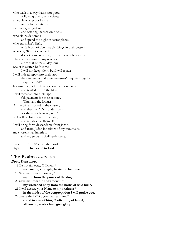who walk in a way that is not good, following their own devices; a people who provoke me to my face continually, sacrificing in gardens and offering incense on bricks; who sit inside tombs, and spend the night in secret places; who eat swine's flesh, with broth of abominable things in their vessels; who say, "Keep to yourself, do not come near me, for I am too holy for you." These are a smoke in my nostrils, a fire that burns all day long. See, it is written before me: I will not keep silent, but I will repay; I will indeed repay into their laps their iniquities and their ancestors' iniquities together, says the LORD; because they offered incense on the mountains and reviled me on the hills, I will measure into their laps full payment for their actions. Thus says the LORD: As the wine is found in the cluster, and they say, "Do not destroy it, for there is a blessing in it," so I will do for my servants' sake, and not destroy them all. I will bring forth descendants from Jacob, and from Judah inheritors of my mountains; my chosen shall inherit it, and my servants shall settle there.

*Lector* The Word of the Lord. *People* **Thanks be to God.**

#### **The Psalm** *Psalm 22:18-27*

**Deus, Deus meus** 18 Be not far away, O LORD; \* **you are my strength; hasten to help me.** 19 Save me from the sword, \* **my life from the power of the dog.** 20 Save me from the lion's mouth, \* **my wretched body from the horns of wild bulls.** 21 I will declare your Name to my brethren; \* **in the midst of the congregation I will praise you.** 22 Praise the LORD, you that fear him; \* **stand in awe of him, O offspring of Israel; all you of Jacob's line, give glory.**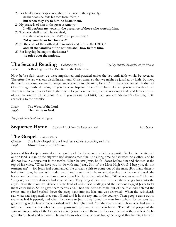| 23 For he does not despise nor abhor the poor in their poverty;       |
|-----------------------------------------------------------------------|
| neither does he hide his face from them; *                            |
| but when they cry to him he hears them.                               |
| 24 My praise is of him in the great assembly; $*$                     |
| I will perform my vows in the presence of those who worship him.      |
| 25 The poor shall eat and be satisfied,                               |
| and those who seek the LORD shall praise him: *                       |
| "May your heart live for ever!"                                       |
| 26 All the ends of the earth shall remember and turn to the LORD, $*$ |
| and all the families of the nations shall bow before him.             |
| 27 For kingship belongs to the LORD; $*$                              |
| he rules over the nations.                                            |

#### **The Second Reading** *Galatians 3:23-29 Read by Patrick Broderick at 10:30 a.m.*

*Lector* A Reading from Paul's letter to the Galatians.

Now before faith came, we were imprisoned and guarded under the law until faith would be revealed. Therefore the law was our disciplinarian until Christ came, so that we might be justified by faith. But now that faith has come, we are no longer subject to a disciplinarian, for in Christ Jesus you are all children of God through faith. As many of you as were baptized into Christ have clothed yourselves with Christ. There is no longer Jew or Greek, there is no longer slave or free, there is no longer male and female; for all of you are one in Christ Jesus. And if you belong to Christ, then you are Abraham's offspring, heirs according to the promise.

*Lector* The Word of the Lord. *People* **Thanks be to God.**

*The people stand and join in singing.*

#### **Sequence Hymn** *Hymn 411, O bless the Lord, my soul! St. Thomas*

#### **The Gospel** *Luke 8:26-39*

*Gospeler* The Holy Gospel of our Lord Jesus Christ according to Luke. *People* **Glory to you, Lord Christ.**

Jesus and his disciples arrived at the country of the Gerasenes, which is opposite Galilee. As he stepped out on land, a man of the city who had demons met him. For a long time he had worn no clothes, and he did not live in a house but in the tombs. When he saw Jesus, he fell down before him and shouted at the top of his voice, "What have you to do with me, Jesus, Son of the Most High God? I beg you, do not torment me" -- for Jesus had commanded the unclean spirit to come out of the man. (For many times it had seized him; he was kept under guard and bound with chains and shackles, but he would break the bonds and be driven by the demon into the wilds.) Jesus then asked him, "What is your name?" He said, "Legion"; for many demons had entered him. They begged him not to order them to go back into the abyss. Now there on the hillside a large herd of swine was feeding; and the demons begged Jesus to let them enter these. So he gave them permission. Then the demons came out of the man and entered the swine, and the herd rushed down the steep bank into the lake and was drowned. When the swineherds saw what had happened, they ran off and told it in the city and in the country. Then people came out to see what had happened, and when they came to Jesus, they found the man from whom the demons had gone sitting at the feet of Jesus, clothed and in his right mind. And they were afraid. Those who had seen it told them how the one who had been possessed by demons had been healed. Then all the people of the surrounding country of the Gerasenes asked Jesus to leave them; for they were seized with great fear. So he got into the boat and returned. The man from whom the demons had gone begged that he might be with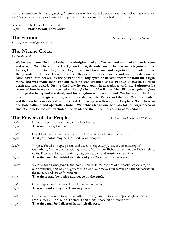him; but Jesus sent him away, saying, "Return to your home, and declare how much God has done for you." So he went away, proclaiming throughout the city how much Jesus had done for him.

*Gospeler* The Gospel of the Lord. *People* **Praise to you, Lord Christ.**

**The Sermon** *The Rev. Christopher R. Duncan*

*The people are seated for the sermon*

# **The Nicene Creed**

*The people stand*

**We believe in one God, the Father, the Almighty, maker of heaven and earth, of all that is, seen and unseen. We believe in one Lord, Jesus Christ, the only Son of God, eternally begotten of the Father, God from God, Light from Light, true God from true God, begotten, not made, of one Being with the Father. Through him all things were made. For us and for our salvation he came down from heaven: by the power of the Holy Spirit he became incarnate from the Virgin Mary, and was made man. For our sake he was crucified under Pontius Pilate; he suffered death and was buried. On the third day he rose again in accordance with the Scriptures; he ascended into heaven and is seated at the right hand of the Father. He will come again in glory to judge the living and the dead, and his kingdom will have no end. We believe in the Holy Spirit, the Lord, the giver of life, who proceeds from the Father and the Son. With the Father and the Son he is worshiped and glorified. He has spoken through the Prophets. We believe in one holy catholic and apostolic Church. We acknowledge one baptism for the forgiveness of sins. We look for the resurrection of the dead, and the life of the world to come. Amen.**

### **The Prayers of the People** *Led by Mary O'Brien at 10:30 a.m.*

| Leader | Father, we pray for your holy Catholic Church;                                                                                                                                                                                                                     |
|--------|--------------------------------------------------------------------------------------------------------------------------------------------------------------------------------------------------------------------------------------------------------------------|
| People | That we all may be one.                                                                                                                                                                                                                                            |
| Leader | Grant that every member of the Church may truly and humbly serve you;                                                                                                                                                                                              |
| People | That your name may be glorified by all people.                                                                                                                                                                                                                     |
| Leader | We pray for all bishops, priests, and deacons; especially Justin, the Archbishop of<br>Canterbury, Michael, our Presiding Bishop, Morris, our Bishop, Shannon, our Bishop-elect;<br>Chris, Drew and Don, our priests; Pat, our deacon; and Austin, our seminarian; |
| People | That they may be faithful ministers of your Word and Sacraments.                                                                                                                                                                                                   |
| Leader | We pray for all who govern and hold authority in the nations of the world; especially Joe,<br>our president; John Bel, our governor; Sharon, our mayor; our family and friends serving in<br>the military and law enforcement;                                     |
| People | That there may be justice and peace on the earth.                                                                                                                                                                                                                  |
| Leader | Give us grace to do your will in all that we undertake;                                                                                                                                                                                                            |
| People | That our works may find favor in your sight.                                                                                                                                                                                                                       |
| Leader | Have compassion on those who suffer from any grief or trouble; especially Julia, Nina,<br>Don, Georgia, Ann, Katie, Thomas, Fannie, and those on our prayer list;                                                                                                  |
| People | That they may be delivered from their distress.                                                                                                                                                                                                                    |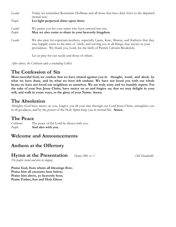| Leader | Today we remember Rosemarie Hoffman and all those that have died. Give to the departed<br>eternal rest;                                                                                                                                                                |
|--------|------------------------------------------------------------------------------------------------------------------------------------------------------------------------------------------------------------------------------------------------------------------------|
| People | Let light perpetual shine upon them.                                                                                                                                                                                                                                   |
| Leader | We praise you for your saints who have entered into joy;                                                                                                                                                                                                               |
| People | May we also come to share in your heavenly kingdom.                                                                                                                                                                                                                    |
| Leader | We also pray for expectant mothers, especially Laura, Kate, Sharon, and Kathryn that they<br>may happily come to the time of birth, and serving you in all things, may rejoice in your<br>providence. We thank you, Lord, for the birth of Patrick Calvarin Broderick; |

Let us pray for our needs and those of others.

*After silence, the Celebrant adds a concluding Collect.*

### **The Confession of Sin**

**Most merciful God, we confess that we have sinned against you in thought, word, and deed, by what we have done, and by what we have left undone. We have not loved you with our whole heart; we have not loved our neighbors as ourselves. We are truly sorry and we humbly repent. For the sake of your Son Jesus Christ, have mercy on us and forgive us; that we may delight in your will, and walk in yours ways, to the glory of your Name. Amen.**

### **The Absolution**

Almighty God have mercy on you, forgive you all your sins through our Lord Jesus Christ, strengthen you in all goodness, and by the power of the Holy Spirit keep you in eternal life. **Amen.**

#### **The Peace**

*Celebrant* The peace of the Lord be always with you. *People* **And also with you.**

### **Welcome and Announcements**

### **Anthem at the Offertory**

#### **Hymn at the Presentation** *Hymn 380, vs. 3 Old Hundredth*

*The people stand and join in singing*

**Praise God, from whom all blessings flow; Praise him all creatures here below; Praise him above, ye heavenly host; Praise Father, Son and Holy Ghost.**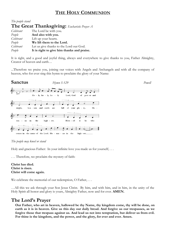## **THE HOLY COMMUNION**

| The people stand                             |                                            |  |  |  |
|----------------------------------------------|--------------------------------------------|--|--|--|
| The Great Thanksgiving: Eucharistic Prayer A |                                            |  |  |  |
| Celebrant                                    | The Lord be with you.                      |  |  |  |
| People                                       | And also with you.                         |  |  |  |
| Celebrant                                    | Lift up your hearts.                       |  |  |  |
| People                                       | We lift them to the Lord.                  |  |  |  |
| Celebrant                                    | Let us give thanks to the Lord our God.    |  |  |  |
| People                                       | It is right to give him thanks and praise. |  |  |  |

It is right, and a good and joyful thing, always and everywhere to give thanks to you, Father Almighty, Creator of heaven and earth…

...Therefore we praise you, joining our voices with Angels and Archangels and with all the company of heaven, who for ever sing this hymn to proclaim the glory of your Name:



#### *The people may kneel or stand*

Holy and gracious Father: In your infinite love you made us for yourself; . . .

*. . .* Therefore, we proclaim the mystery of faith:

**Christ has died. Christ is risen. Christ will come again.**

We celebrate the memorial of our redemption, O Father, ...

…All this we ask through your Son Jesus Christ. By him, and with him, and in him, in the unity of the Holy Spirit all honor and glory is yours, Almighty Father, now and for ever. **AMEN.**

# **The Lord's Prayer**

**Our Father, who art in heaven, hallowed be thy Name, thy kingdom come, thy will be done, on earth as it is in heaven. Give us this day our daily bread. And forgive us our trespasses, as we forgive those that trespass against us. And lead us not into temptation, but deliver us from evil. For thine is the kingdom, and the power, and the glory, for ever and ever. Amen.**